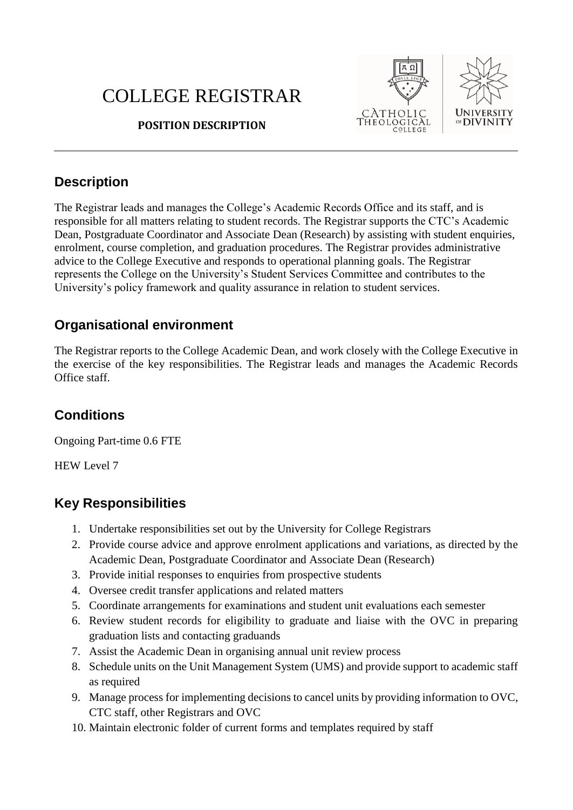# COLLEGE REGISTRAR



#### **POSITION DESCRIPTION**

### **Description**

The Registrar leads and manages the College's Academic Records Office and its staff, and is responsible for all matters relating to student records. The Registrar supports the CTC's Academic Dean, Postgraduate Coordinator and Associate Dean (Research) by assisting with student enquiries, enrolment, course completion, and graduation procedures. The Registrar provides administrative advice to the College Executive and responds to operational planning goals. The Registrar represents the College on the University's Student Services Committee and contributes to the University's policy framework and quality assurance in relation to student services.

### **Organisational environment**

The Registrar reports to the College Academic Dean, and work closely with the College Executive in the exercise of the key responsibilities. The Registrar leads and manages the Academic Records Office staff.

#### **Conditions**

Ongoing Part-time 0.6 FTE

HEW Level 7

# **Key Responsibilities**

- 1. Undertake responsibilities set out by the University for College Registrars
- 2. Provide course advice and approve enrolment applications and variations, as directed by the Academic Dean, Postgraduate Coordinator and Associate Dean (Research)
- 3. Provide initial responses to enquiries from prospective students
- 4. Oversee credit transfer applications and related matters
- 5. Coordinate arrangements for examinations and student unit evaluations each semester
- 6. Review student records for eligibility to graduate and liaise with the OVC in preparing graduation lists and contacting graduands
- 7. Assist the Academic Dean in organising annual unit review process
- 8. Schedule units on the Unit Management System (UMS) and provide support to academic staff as required
- 9. Manage process for implementing decisions to cancel units by providing information to OVC, CTC staff, other Registrars and OVC
- 10. Maintain electronic folder of current forms and templates required by staff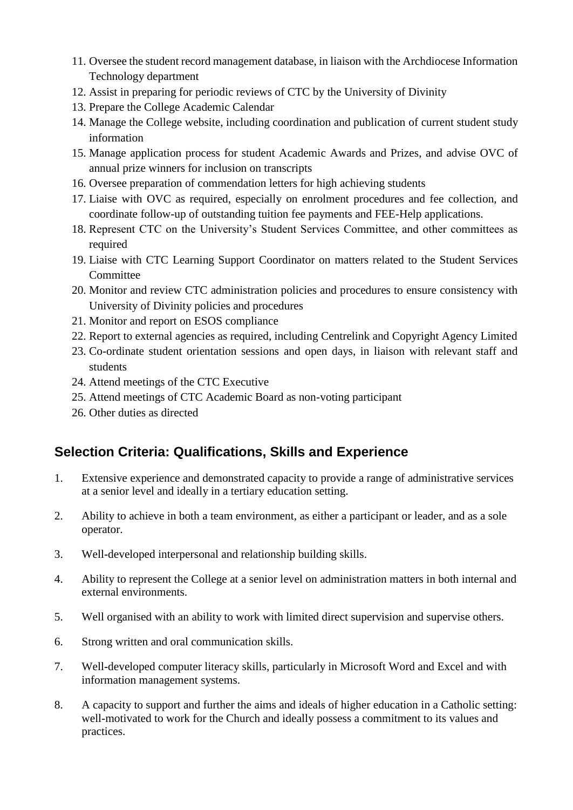- 11. Oversee the student record management database, in liaison with the Archdiocese Information Technology department
- 12. Assist in preparing for periodic reviews of CTC by the University of Divinity
- 13. Prepare the College Academic Calendar
- 14. Manage the College website, including coordination and publication of current student study information
- 15. Manage application process for student Academic Awards and Prizes, and advise OVC of annual prize winners for inclusion on transcripts
- 16. Oversee preparation of commendation letters for high achieving students
- 17. Liaise with OVC as required, especially on enrolment procedures and fee collection, and coordinate follow-up of outstanding tuition fee payments and FEE-Help applications.
- 18. Represent CTC on the University's Student Services Committee, and other committees as required
- 19. Liaise with CTC Learning Support Coordinator on matters related to the Student Services Committee
- 20. Monitor and review CTC administration policies and procedures to ensure consistency with University of Divinity policies and procedures
- 21. Monitor and report on ESOS compliance
- 22. Report to external agencies as required, including Centrelink and Copyright Agency Limited
- 23. Co-ordinate student orientation sessions and open days, in liaison with relevant staff and students
- 24. Attend meetings of the CTC Executive
- 25. Attend meetings of CTC Academic Board as non-voting participant
- 26. Other duties as directed

# **Selection Criteria: Qualifications, Skills and Experience**

- 1. Extensive experience and demonstrated capacity to provide a range of administrative services at a senior level and ideally in a tertiary education setting.
- 2. Ability to achieve in both a team environment, as either a participant or leader, and as a sole operator.
- 3. Well-developed interpersonal and relationship building skills.
- 4. Ability to represent the College at a senior level on administration matters in both internal and external environments.
- 5. Well organised with an ability to work with limited direct supervision and supervise others.
- 6. Strong written and oral communication skills.
- 7. Well-developed computer literacy skills, particularly in Microsoft Word and Excel and with information management systems.
- 8. A capacity to support and further the aims and ideals of higher education in a Catholic setting: well-motivated to work for the Church and ideally possess a commitment to its values and practices.